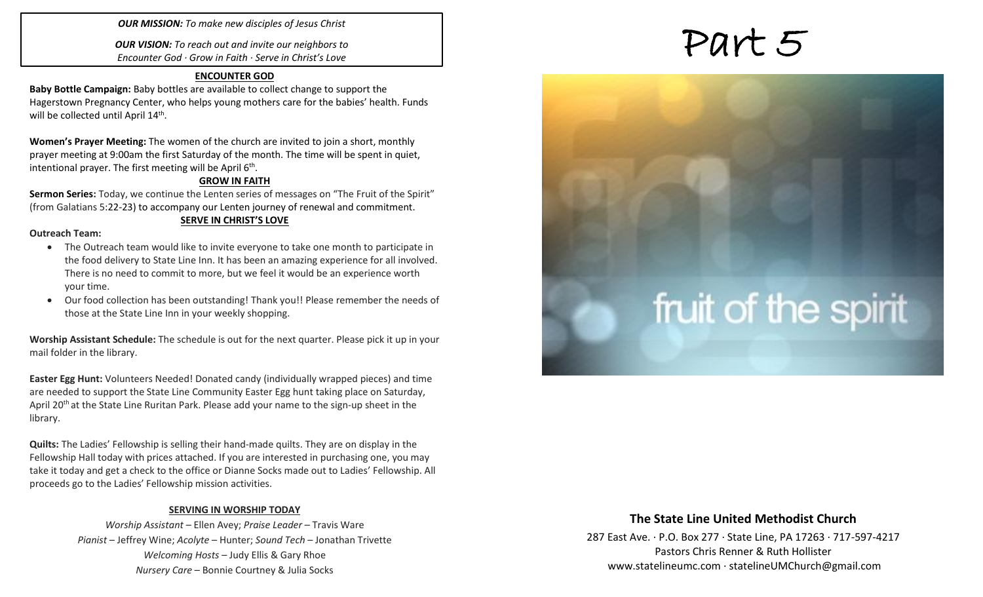### *OUR MISSION: To make new disciples of Jesus Christ*

*OUR VISION: To reach out and invite our neighbors to Encounter God · Grow in Faith · Serve in Christ's Love*

### **ENCOUNTER GOD**

**Baby Bottle Campaign:** Baby bottles are available to collect change to support the Hagerstown Pregnancy Center, who helps young mothers care for the babies' health. Funds will be collected until April 14<sup>th</sup>.

**Women's Prayer Meeting:** The women of the church are invited to join a short, monthly prayer meeting at 9:00am the first Saturday of the month. The time will be spent in quiet, intentional prayer. The first meeting will be April  $6<sup>th</sup>$ .

### **GROW IN FAITH**

**Sermon Series:** Today, we continue the Lenten series of messages on "The Fruit of the Spirit" (from Galatians 5:22-23) to accompany our Lenten journey of renewal and commitment.

### **SERVE IN CHRIST'S LOVE**

### **Outreach Team:**

- The Outreach team would like to invite everyone to take one month to participate in the food delivery to State Line Inn. It has been an amazing experience for all involved. There is no need to commit to more, but we feel it would be an experience worth your time.
- Our food collection has been outstanding! Thank you!! Please remember the needs of those at the State Line Inn in your weekly shopping.

**Worship Assistant Schedule:** The schedule is out for the next quarter. Please pick it up in your mail folder in the library.

**Easter Egg Hunt:** Volunteers Needed! Donated candy (individually wrapped pieces) and time are needed to support the State Line Community Easter Egg hunt taking place on Saturday, April 20<sup>th</sup> at the State Line Ruritan Park. Please add your name to the sign-up sheet in the library.

**Quilts:** The Ladies' Fellowship is selling their hand-made quilts. They are on display in the Fellowship Hall today with prices attached. If you are interested in purchasing one, you may take it today and get a check to the office or Dianne Socks made out to Ladies' Fellowship. All proceeds go to the Ladies' Fellowship mission activities.

### **SERVING IN WORSHIP TODAY**

*Worship Assistant* – Ellen Avey; *Praise Leader* – Travis Ware *Pianist* – Jeffrey Wine; *Acolyte* – Hunter; *Sound Tech* – Jonathan Trivette *Welcoming Hosts* – Judy Ellis & Gary Rhoe *Nursery Care* – Bonnie Courtney & Julia Socks

# Part 5

# fruit of the spirit

### **The State Line United Methodist Church**

287 East Ave. · P.O. Box 277 · State Line, PA 17263 · 717-597-4217 Pastors Chris Renner & Ruth Hollister [www.statelineumc.com](http://www.statelineumc.com/) · statelineUMChurch@gmail.com